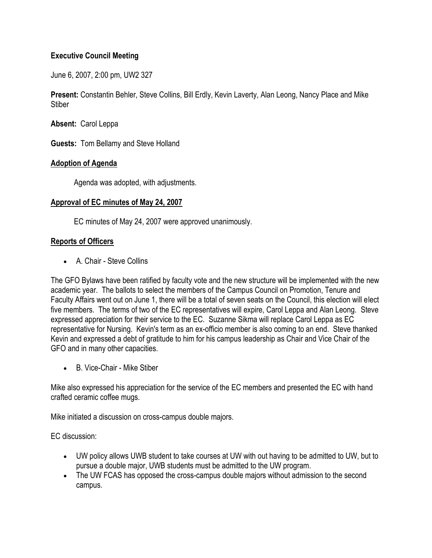# **Executive Council Meeting**

June 6, 2007, 2:00 pm, UW2 327

**Present:** Constantin Behler, Steve Collins, Bill Erdly, Kevin Laverty, Alan Leong, Nancy Place and Mike **Stiber** 

**Absent:** Carol Leppa

**Guests:** Tom Bellamy and Steve Holland

## **Adoption of Agenda**

Agenda was adopted, with adjustments.

## **Approval of EC minutes of May 24, 2007**

EC minutes of May 24, 2007 were approved unanimously.

# **Reports of Officers**

A. Chair - Steve Collins

The GFO Bylaws have been ratified by faculty vote and the new structure will be implemented with the new academic year. The ballots to select the members of the Campus Council on Promotion, Tenure and Faculty Affairs went out on June 1, there will be a total of seven seats on the Council, this election will elect five members. The terms of two of the EC representatives will expire, Carol Leppa and Alan Leong. Steve expressed appreciation for their service to the EC. Suzanne Sikma will replace Carol Leppa as EC representative for Nursing. Kevin's term as an ex-officio member is also coming to an end. Steve thanked Kevin and expressed a debt of gratitude to him for his campus leadership as Chair and Vice Chair of the GFO and in many other capacities.

B. Vice-Chair - Mike Stiber

Mike also expressed his appreciation for the service of the EC members and presented the EC with hand crafted ceramic coffee mugs.

Mike initiated a discussion on cross-campus double majors.

EC discussion:

- UW policy allows UWB student to take courses at UW with out having to be admitted to UW, but to pursue a double major, UWB students must be admitted to the UW program.
- The UW FCAS has opposed the cross-campus double majors without admission to the second campus.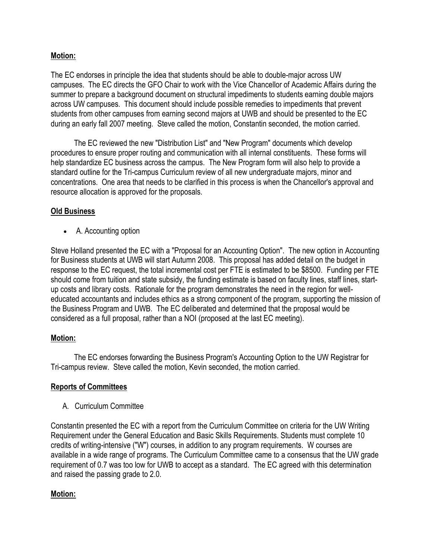# **Motion:**

The EC endorses in principle the idea that students should be able to double-major across UW campuses. The EC directs the GFO Chair to work with the Vice Chancellor of Academic Affairs during the summer to prepare a background document on structural impediments to students earning double majors across UW campuses. This document should include possible remedies to impediments that prevent students from other campuses from earning second majors at UWB and should be presented to the EC during an early fall 2007 meeting. Steve called the motion, Constantin seconded, the motion carried.

 The EC reviewed the new "Distribution List" and "New Program" documents which develop procedures to ensure proper routing and communication with all internal constituents. These forms will help standardize EC business across the campus. The New Program form will also help to provide a standard outline for the Tri-campus Curriculum review of all new undergraduate majors, minor and concentrations. One area that needs to be clarified in this process is when the Chancellor's approval and resource allocation is approved for the proposals.

# **Old Business**

A. Accounting option

Steve Holland presented the EC with a "Proposal for an Accounting Option". The new option in Accounting for Business students at UWB will start Autumn 2008. This proposal has added detail on the budget in response to the EC request, the total incremental cost per FTE is estimated to be \$8500. Funding per FTE should come from tuition and state subsidy, the funding estimate is based on faculty lines, staff lines, startup costs and library costs. Rationale for the program demonstrates the need in the region for welleducated accountants and includes ethics as a strong component of the program, supporting the mission of the Business Program and UWB. The EC deliberated and determined that the proposal would be considered as a full proposal, rather than a NOI (proposed at the last EC meeting).

## **Motion:**

 The EC endorses forwarding the Business Program's Accounting Option to the UW Registrar for Tri-campus review. Steve called the motion, Kevin seconded, the motion carried.

# **Reports of Committees**

A. Curriculum Committee

Constantin presented the EC with a report from the Curriculum Committee on criteria for the UW Writing Requirement under the General Education and Basic Skills Requirements. Students must complete 10 credits of writing-intensive ("W") courses, in addition to any program requirements. W courses are available in a wide range of programs. The Curriculum Committee came to a consensus that the UW grade requirement of 0.7 was too low for UWB to accept as a standard. The EC agreed with this determination and raised the passing grade to 2.0.

# **Motion:**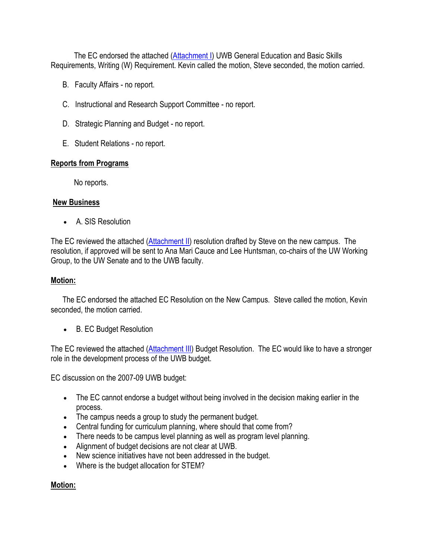The EC endorsed the attached [\(Attachment I\)](http://www.uwb.edu/gfo/minutes/EC6-6-07Attachment1.pdf) UWB General Education and Basic Skills Requirements, Writing (W) Requirement. Kevin called the motion, Steve seconded, the motion carried.

- B. Faculty Affairs no report.
- C. Instructional and Research Support Committee no report.
- D. Strategic Planning and Budget no report.
- E. Student Relations no report.

## **Reports from Programs**

No reports.

### **New Business**

A. SIS Resolution

The EC reviewed the attached [\(Attachment II\)](http://www.uwb.edu/gfo/minutes/EC6-6-07ECAttachment2.pdf) resolution drafted by Steve on the new campus. The resolution, if approved will be sent to Ana Mari Cauce and Lee Huntsman, co-chairs of the UW Working Group, to the UW Senate and to the UWB faculty.

### **Motion:**

 The EC endorsed the attached EC Resolution on the New Campus. Steve called the motion, Kevin seconded, the motion carried.

B. EC Budget Resolution

The EC reviewed the attached [\(Attachment III\)](http://www.uwb.edu/gfo/minutes/6-6-07ECAttachment3.pdf) Budget Resolution. The EC would like to have a stronger role in the development process of the UWB budget.

EC discussion on the 2007-09 UWB budget:

- The EC cannot endorse a budget without being involved in the decision making earlier in the process.
- The campus needs a group to study the permanent budget.
- Central funding for curriculum planning, where should that come from?
- There needs to be campus level planning as well as program level planning.
- Alignment of budget decisions are not clear at UWB.
- New science initiatives have not been addressed in the budget.
- Where is the budget allocation for STEM?

## **Motion:**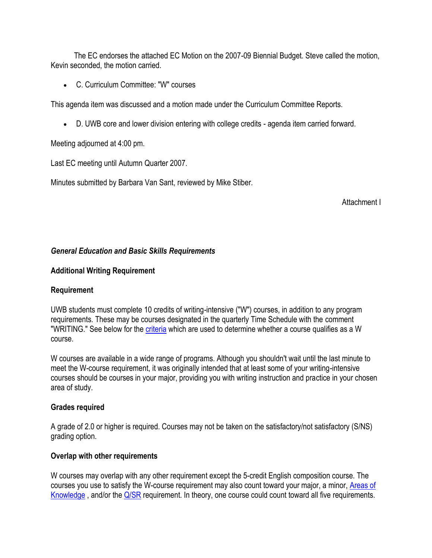The EC endorses the attached EC Motion on the 2007-09 Biennial Budget. Steve called the motion, Kevin seconded, the motion carried.

C. Curriculum Committee: "W" courses

This agenda item was discussed and a motion made under the Curriculum Committee Reports.

D. UWB core and lower division entering with college credits - agenda item carried forward.

Meeting adjourned at 4:00 pm.

Last EC meeting until Autumn Quarter 2007.

Minutes submitted by Barbara Van Sant, reviewed by Mike Stiber.

Attachment I

### *General Education and Basic Skills Requirements*

#### **Additional Writing Requirement**

#### **Requirement**

UWB students must complete 10 credits of writing-intensive ("W") courses, in addition to any program requirements. These may be courses designated in the quarterly Time Schedule with the comment "WRITING." See below for the [criteria](http://www.washington.edu/students/ugrad/advising/ged/gedw#criteria#criteria) which are used to determine whether a course qualifies as a W course.

W courses are available in a wide range of programs. Although you shouldn't wait until the last minute to meet the W-course requirement, it was originally intended that at least some of your writing-intensive courses should be courses in your major, providing you with writing instruction and practice in your chosen area of study.

#### **Grades required**

A grade of 2.0 or higher is required. Courses may not be taken on the satisfactory/not satisfactory (S/NS) grading option.

#### **Overlap with other requirements**

W courses may overlap with any other requirement except the 5-credit English composition course. The courses you use to satisfy the W-course requirement may also count toward your major, a minor, [Areas of](http://www.washington.edu/students/ugrad/advising/ged/gedAoK.html)  [Knowledge](http://www.washington.edu/students/ugrad/advising/ged/gedAoK.html), and/or the [Q/SR](http://www.washington.edu/students/ugrad/advising/ged/gedqsr.html) requirement. In theory, one course could count toward all five requirements.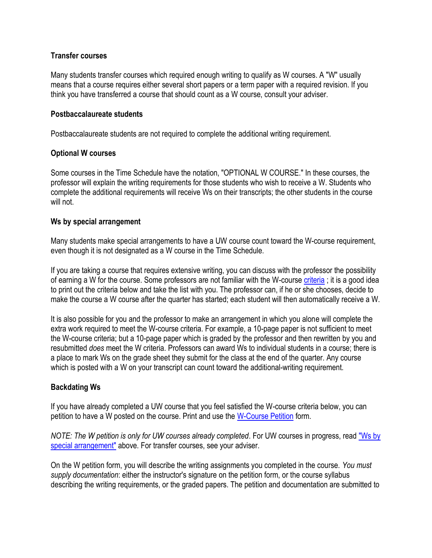### **Transfer courses**

Many students transfer courses which required enough writing to qualify as W courses. A "W" usually means that a course requires either several short papers or a term paper with a required revision. If you think you have transferred a course that should count as a W course, consult your adviser.

#### **Postbaccalaureate students**

Postbaccalaureate students are not required to complete the additional writing requirement.

### **Optional W courses**

Some courses in the Time Schedule have the notation, "OPTIONAL W COURSE." In these courses, the professor will explain the writing requirements for those students who wish to receive a W. Students who complete the additional requirements will receive Ws on their transcripts; the other students in the course will not.

### **Ws by special arrangement**

Many students make special arrangements to have a UW course count toward the W-course requirement, even though it is not designated as a W course in the Time Schedule.

If you are taking a course that requires extensive writing, you can discuss with the professor the possibility of earning a W for the course. Some professors are not familiar with the W-course [criteria](http://www.washington.edu/students/ugrad/advising/ged/gedw#criteria#criteria) ; it is a good idea to print out the criteria below and take the list with you. The professor can, if he or she chooses, decide to make the course a W course after the quarter has started; each student will then automatically receive a W.

It is also possible for you and the professor to make an arrangement in which you alone will complete the extra work required to meet the W-course criteria. For example, a 10-page paper is not sufficient to meet the W-course criteria; but a 10-page paper which is graded by the professor and then rewritten by you and resubmitted *does* meet the W criteria. Professors can award Ws to individual students in a course; there is a place to mark Ws on the grade sheet they submit for the class at the end of the quarter. Any course which is posted with a W on your transcript can count toward the additional-writing requirement.

## **Backdating Ws**

If you have already completed a UW course that you feel satisfied the W-course criteria below, you can petition to have a W posted on the course. Print and use the [W-Course Petition](http://www.washington.edu/students/ugrad/advising/ged/Wpetition.pdf) form.

*NOTE: The W petition is only for UW courses already completed*. For UW courses in progress, read ["Ws by](http://www.washington.edu/students/ugrad/advising/ged/gedw#special#special) [special arrangement"](http://www.washington.edu/students/ugrad/advising/ged/gedw#special#special) above. For transfer courses, see your adviser.

On the W petition form, you will describe the writing assignments you completed in the course. *You must supply documentation*: either the instructor's signature on the petition form, or the course syllabus describing the writing requirements, or the graded papers. The petition and documentation are submitted to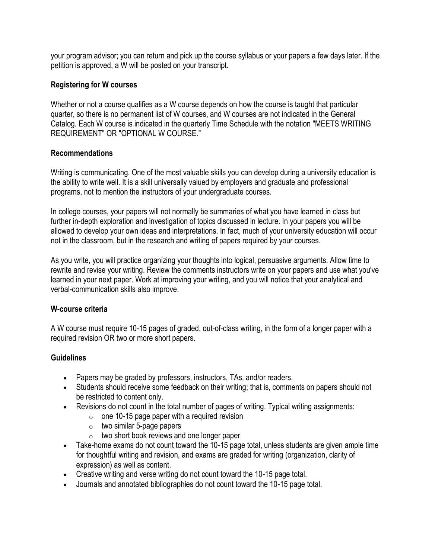your program advisor; you can return and pick up the course syllabus or your papers a few days later. If the petition is approved, a W will be posted on your transcript.

## **Registering for W courses**

Whether or not a course qualifies as a W course depends on how the course is taught that particular quarter, so there is no permanent list of W courses, and W courses are not indicated in the General Catalog. Each W course is indicated in the quarterly Time Schedule with the notation "MEETS WRITING REQUIREMENT" OR "OPTIONAL W COURSE."

### **Recommendations**

Writing is communicating. One of the most valuable skills you can develop during a university education is the ability to write well. It is a skill universally valued by employers and graduate and professional programs, not to mention the instructors of your undergraduate courses.

In college courses, your papers will not normally be summaries of what you have learned in class but further in-depth exploration and investigation of topics discussed in lecture. In your papers you will be allowed to develop your own ideas and interpretations. In fact, much of your university education will occur not in the classroom, but in the research and writing of papers required by your courses.

As you write, you will practice organizing your thoughts into logical, persuasive arguments. Allow time to rewrite and revise your writing. Review the comments instructors write on your papers and use what you've learned in your next paper. Work at improving your writing, and you will notice that your analytical and verbal-communication skills also improve.

## **W-course criteria**

A W course must require 10-15 pages of graded, out-of-class writing, in the form of a longer paper with a required revision OR two or more short papers.

## **Guidelines**

- Papers may be graded by professors, instructors, TAs, and/or readers.
- Students should receive some feedback on their writing; that is, comments on papers should not be restricted to content only.
- Revisions do not count in the total number of pages of writing. Typical writing assignments:
	- $\circ$  one 10-15 page paper with a required revision
		- $\circ$  two similar 5-page papers
		- $\circ$  two short book reviews and one longer paper
- Take-home exams do not count toward the 10-15 page total, unless students are given ample time for thoughtful writing and revision, and exams are graded for writing (organization, clarity of expression) as well as content.
- Creative writing and verse writing do not count toward the 10-15 page total.
- Journals and annotated bibliographies do not count toward the 10-15 page total.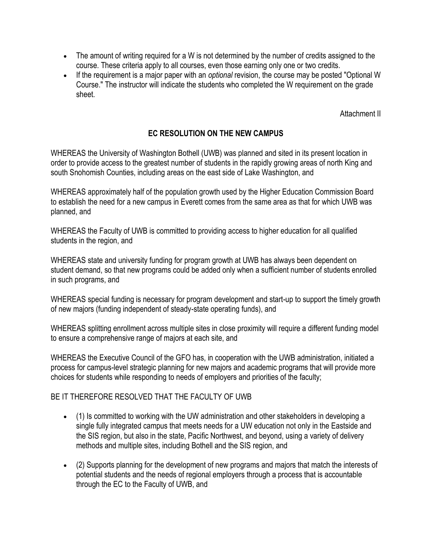- The amount of writing required for a W is not determined by the number of credits assigned to the course. These criteria apply to all courses, even those earning only one or two credits.
- If the requirement is a major paper with an *optional* revision, the course may be posted "Optional W Course." The instructor will indicate the students who completed the W requirement on the grade sheet.

Attachment II

# **EC RESOLUTION ON THE NEW CAMPUS**

WHEREAS the University of Washington Bothell (UWB) was planned and sited in its present location in order to provide access to the greatest number of students in the rapidly growing areas of north King and south Snohomish Counties, including areas on the east side of Lake Washington, and

WHEREAS approximately half of the population growth used by the Higher Education Commission Board to establish the need for a new campus in Everett comes from the same area as that for which UWB was planned, and

WHEREAS the Faculty of UWB is committed to providing access to higher education for all qualified students in the region, and

WHEREAS state and university funding for program growth at UWB has always been dependent on student demand, so that new programs could be added only when a sufficient number of students enrolled in such programs, and

WHEREAS special funding is necessary for program development and start-up to support the timely growth of new majors (funding independent of steady-state operating funds), and

WHEREAS splitting enrollment across multiple sites in close proximity will require a different funding model to ensure a comprehensive range of majors at each site, and

WHEREAS the Executive Council of the GFO has, in cooperation with the UWB administration, initiated a process for campus-level strategic planning for new majors and academic programs that will provide more choices for students while responding to needs of employers and priorities of the faculty;

## BE IT THEREFORE RESOLVED THAT THE FACULTY OF UWB

- (1) Is committed to working with the UW administration and other stakeholders in developing a single fully integrated campus that meets needs for a UW education not only in the Eastside and the SIS region, but also in the state, Pacific Northwest, and beyond, using a variety of delivery methods and multiple sites, including Bothell and the SIS region, and
- (2) Supports planning for the development of new programs and majors that match the interests of potential students and the needs of regional employers through a process that is accountable through the EC to the Faculty of UWB, and